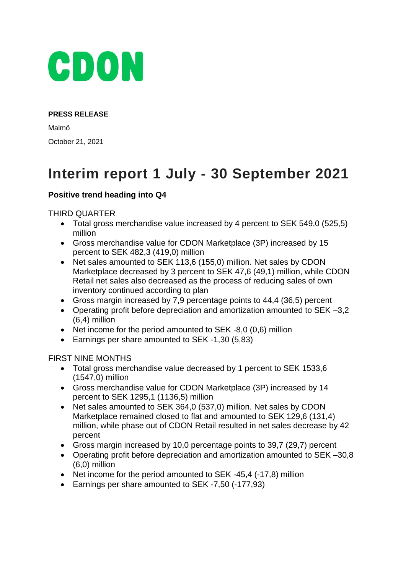

#### **PRESS RELEASE**

Malmö October 21, 2021

# **Interim report 1 July - 30 September 2021**

## **Positive trend heading into Q4**

### THIRD QUARTER

- Total gross merchandise value increased by 4 percent to SEK 549,0 (525,5) million
- Gross merchandise value for CDON Marketplace (3P) increased by 15 percent to SEK 482,3 (419,0) million
- Net sales amounted to SEK 113,6 (155,0) million. Net sales by CDON Marketplace decreased by 3 percent to SEK 47,6 (49,1) million, while CDON Retail net sales also decreased as the process of reducing sales of own inventory continued according to plan
- Gross margin increased by 7,9 percentage points to 44,4 (36,5) percent
- Operating profit before depreciation and amortization amounted to SEK –3,2 (6,4) million
- Net income for the period amounted to SEK -8,0 (0,6) million
- Earnings per share amounted to SEK -1,30 (5,83)

### FIRST NINE MONTHS

- Total gross merchandise value decreased by 1 percent to SEK 1533,6 (1547,0) million
- Gross merchandise value for CDON Marketplace (3P) increased by 14 percent to SEK 1295,1 (1136,5) million
- Net sales amounted to SEK 364,0 (537,0) million. Net sales by CDON Marketplace remained closed to flat and amounted to SEK 129,6 (131,4) million, while phase out of CDON Retail resulted in net sales decrease by 42 percent
- Gross margin increased by 10,0 percentage points to 39,7 (29,7) percent
- Operating profit before depreciation and amortization amounted to SEK –30,8 (6,0) million
- Net income for the period amounted to SEK -45,4 (-17,8) million
- Earnings per share amounted to SEK -7,50 (-177,93)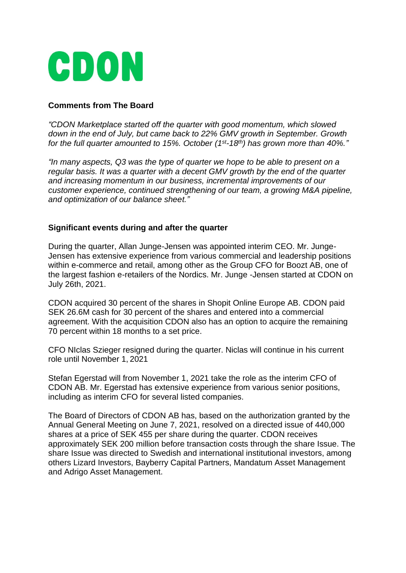

## **Comments from The Board**

*"CDON Marketplace started off the quarter with good momentum, which slowed down in the end of July, but came back to 22% GMV growth in September. Growth for the full quarter amounted to 15%. October (1st-18th) has grown more than 40%."*

*"In many aspects, Q3 was the type of quarter we hope to be able to present on a regular basis. It was a quarter with a decent GMV growth by the end of the quarter and increasing momentum in our business, incremental improvements of our customer experience, continued strengthening of our team, a growing M&A pipeline, and optimization of our balance sheet."*

#### **Significant events during and after the quarter**

During the quarter, Allan Junge-Jensen was appointed interim CEO. Mr. Junge-Jensen has extensive experience from various commercial and leadership positions within e-commerce and retail, among other as the Group CFO for Boozt AB, one of the largest fashion e-retailers of the Nordics. Mr. Junge -Jensen started at CDON on July 26th, 2021.

CDON acquired 30 percent of the shares in Shopit Online Europe AB. CDON paid SEK 26.6M cash for 30 percent of the shares and entered into a commercial agreement. With the acquisition CDON also has an option to acquire the remaining 70 percent within 18 months to a set price.

CFO NIclas Szieger resigned during the quarter. Niclas will continue in his current role until November 1, 2021

Stefan Egerstad will from November 1, 2021 take the role as the interim CFO of CDON AB. Mr. Egerstad has extensive experience from various senior positions, including as interim CFO for several listed companies.

The Board of Directors of CDON AB has, based on the authorization granted by the Annual General Meeting on June 7, 2021, resolved on a directed issue of 440,000 shares at a price of SEK 455 per share during the quarter. CDON receives approximately SEK 200 million before transaction costs through the share Issue. The share Issue was directed to Swedish and international institutional investors, among others Lizard Investors, Bayberry Capital Partners, Mandatum Asset Management and Adrigo Asset Management.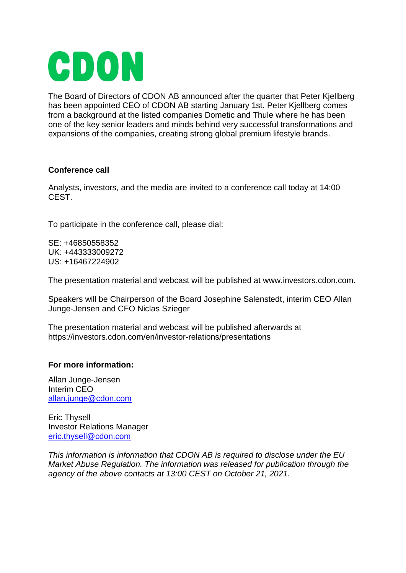

The Board of Directors of CDON AB announced after the quarter that Peter Kjellberg has been appointed CEO of CDON AB starting January 1st. Peter Kjellberg comes from a background at the listed companies Dometic and Thule where he has been one of the key senior leaders and minds behind very successful transformations and expansions of the companies, creating strong global premium lifestyle brands.

### **Conference call**

Analysts, investors, and the media are invited to a conference call today at 14:00 CEST.

To participate in the conference call, please dial:

SE: +46850558352 UK: +443333009272 US: +16467224902

The presentation material and webcast will be published at www.investors.cdon.com.

Speakers will be Chairperson of the Board Josephine Salenstedt, interim CEO Allan Junge-Jensen and CFO Niclas Szieger

The presentation material and webcast will be published afterwards at https://investors.cdon.com/en/investor-relations/presentations

### **For more information:**

Allan Junge-Jensen Interim CEO [allan.junge@cdon.com](mailto:allan.junge@cdon.com)

Eric Thysell Investor Relations Manager [eric.thysell@cdon.com](mailto:eric.thysell@cdon.com)

*This information is information that CDON AB is required to disclose under the EU Market Abuse Regulation. The information was released for publication through the agency of the above contacts at 13:00 CEST on October 21, 2021.*